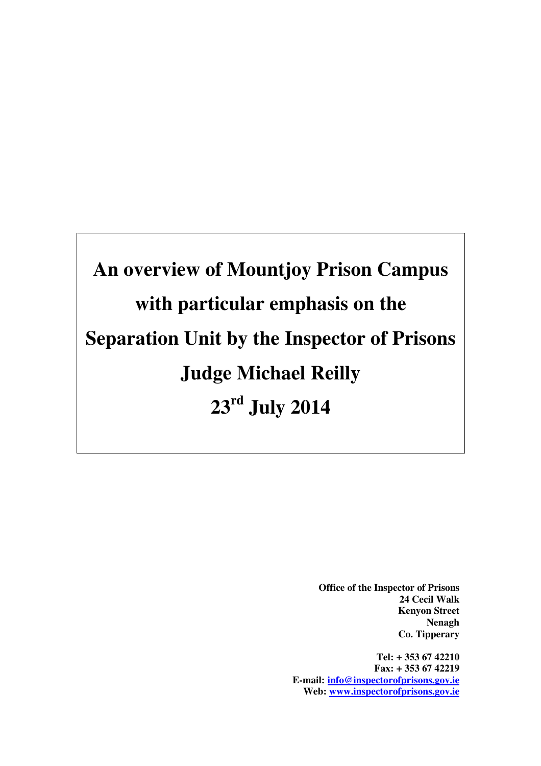**An overview of Mountjoy Prison Campus with particular emphasis on the Separation Unit by the Inspector of Prisons Judge Michael Reilly 23rd July 2014** 

> **Office of the Inspector of Prisons 24 Cecil Walk Kenyon Street Nenagh Co. Tipperary**

**Tel: + 353 67 42210 Fax: + 353 67 42219 E-mail: info@inspectorofprisons.gov.ie Web: www.inspectorofprisons.gov.ie**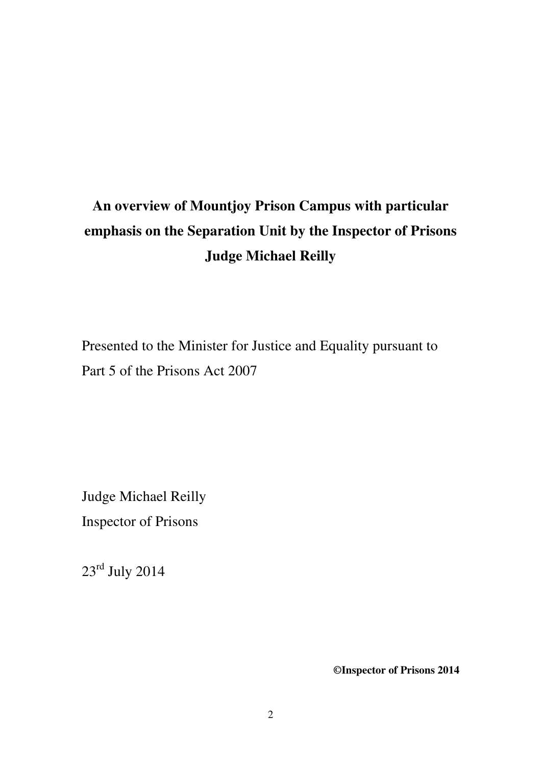# **An overview of Mountjoy Prison Campus with particular emphasis on the Separation Unit by the Inspector of Prisons Judge Michael Reilly**

Presented to the Minister for Justice and Equality pursuant to Part 5 of the Prisons Act 2007

Judge Michael Reilly Inspector of Prisons

23rd July 2014

**©Inspector of Prisons 2014**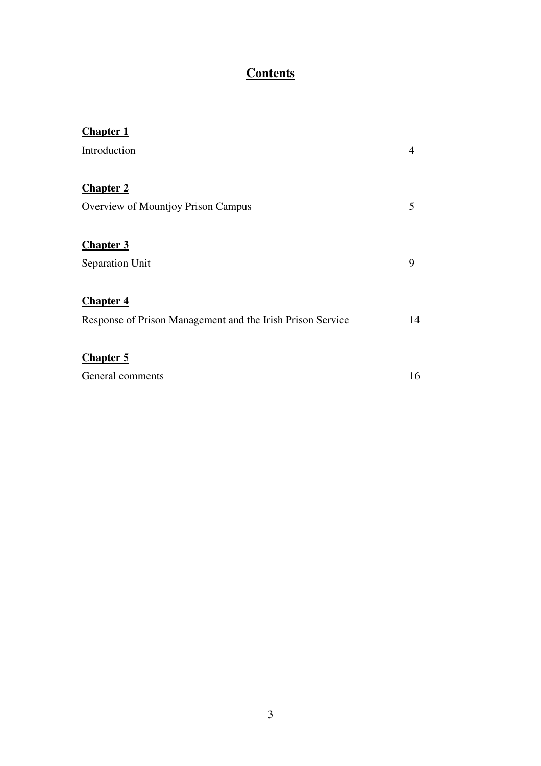# **Contents**

| <b>Chapter 1</b>                                           |    |
|------------------------------------------------------------|----|
| Introduction                                               | 4  |
|                                                            |    |
| <b>Chapter 2</b>                                           |    |
| Overview of Mountjoy Prison Campus                         | 5  |
|                                                            |    |
| <b>Chapter 3</b>                                           |    |
| Separation Unit                                            | 9  |
|                                                            |    |
| <b>Chapter 4</b>                                           |    |
| Response of Prison Management and the Irish Prison Service | 14 |
|                                                            |    |
| <b>Chapter 5</b>                                           |    |
| General comments                                           | 16 |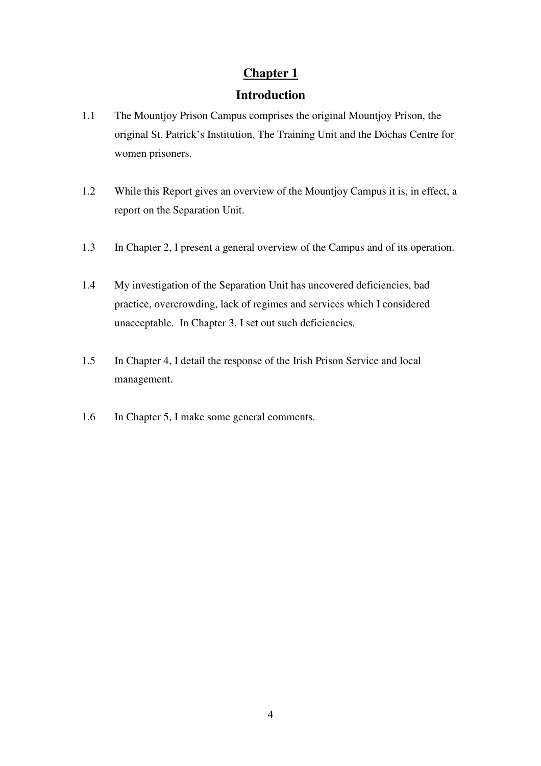# **Introduction**

- 1.1 The Mountjoy Prison Campus comprises the original Mountjoy Prison, the original St. Patrick's Institution, The Training Unit and the Dóchas Centre for women prisoners.
- 1.2 While this Report gives an overview of the Mountjoy Campus it is, in effect, a report on the Separation Unit.
- 1.3 In Chapter 2, I present a general overview of the Campus and of its operation.
- 1.4 My investigation of the Separation Unit has uncovered deficiencies, bad practice, overcrowding, lack of regimes and services which I considered unacceptable. In Chapter 3, I set out such deficiencies.
- 1.5 In Chapter 4, I detail the response of the Irish Prison Service and local management.
- 1.6 In Chapter 5, I make some general comments.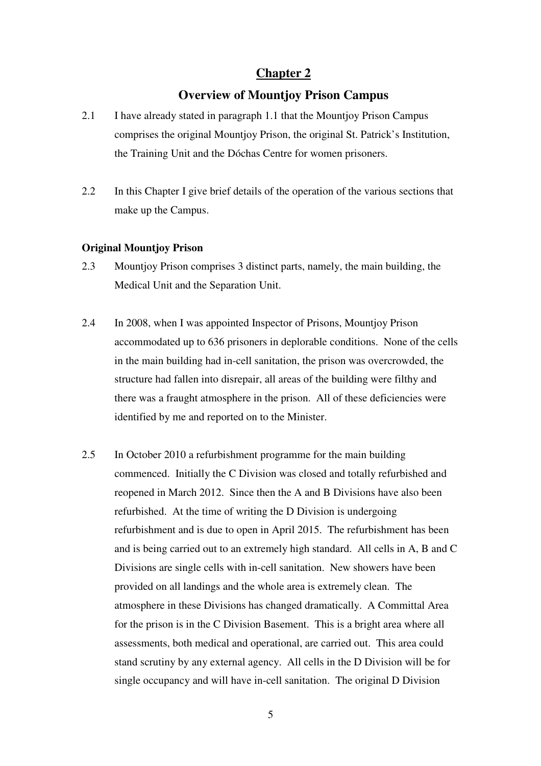### **Overview of Mountjoy Prison Campus**

- 2.1 I have already stated in paragraph 1.1 that the Mountjoy Prison Campus comprises the original Mountjoy Prison, the original St. Patrick's Institution, the Training Unit and the Dóchas Centre for women prisoners.
- 2.2 In this Chapter I give brief details of the operation of the various sections that make up the Campus.

#### **Original Mountjoy Prison**

- 2.3 Mountjoy Prison comprises 3 distinct parts, namely, the main building, the Medical Unit and the Separation Unit.
- 2.4 In 2008, when I was appointed Inspector of Prisons, Mountjoy Prison accommodated up to 636 prisoners in deplorable conditions. None of the cells in the main building had in-cell sanitation, the prison was overcrowded, the structure had fallen into disrepair, all areas of the building were filthy and there was a fraught atmosphere in the prison. All of these deficiencies were identified by me and reported on to the Minister.
- 2.5 In October 2010 a refurbishment programme for the main building commenced. Initially the C Division was closed and totally refurbished and reopened in March 2012. Since then the A and B Divisions have also been refurbished. At the time of writing the D Division is undergoing refurbishment and is due to open in April 2015. The refurbishment has been and is being carried out to an extremely high standard. All cells in A, B and C Divisions are single cells with in-cell sanitation. New showers have been provided on all landings and the whole area is extremely clean. The atmosphere in these Divisions has changed dramatically. A Committal Area for the prison is in the C Division Basement. This is a bright area where all assessments, both medical and operational, are carried out. This area could stand scrutiny by any external agency. All cells in the D Division will be for single occupancy and will have in-cell sanitation. The original D Division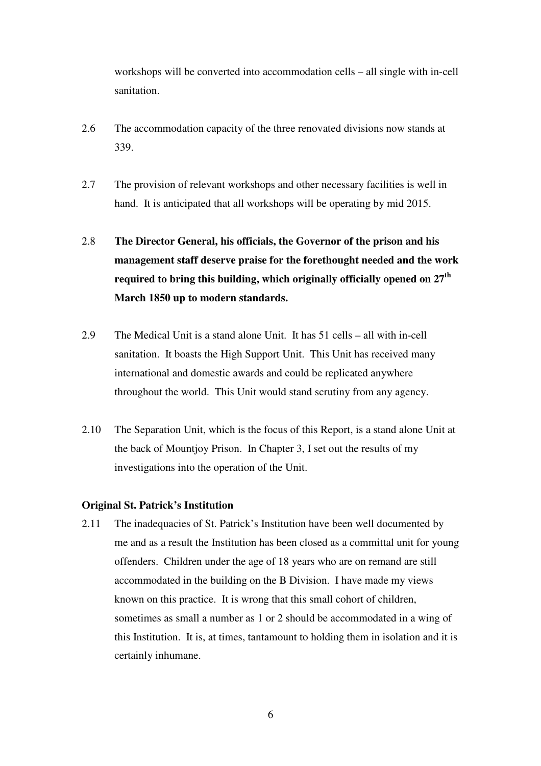workshops will be converted into accommodation cells – all single with in-cell sanitation.

- 2.6 The accommodation capacity of the three renovated divisions now stands at 339.
- 2.7 The provision of relevant workshops and other necessary facilities is well in hand. It is anticipated that all workshops will be operating by mid 2015.
- 2.8 **The Director General, his officials, the Governor of the prison and his management staff deserve praise for the forethought needed and the work required to bring this building, which originally officially opened on 27th March 1850 up to modern standards.**
- 2.9 The Medical Unit is a stand alone Unit. It has 51 cells all with in-cell sanitation. It boasts the High Support Unit. This Unit has received many international and domestic awards and could be replicated anywhere throughout the world. This Unit would stand scrutiny from any agency.
- 2.10 The Separation Unit, which is the focus of this Report, is a stand alone Unit at the back of Mountjoy Prison. In Chapter 3, I set out the results of my investigations into the operation of the Unit.

#### **Original St. Patrick's Institution**

2.11 The inadequacies of St. Patrick's Institution have been well documented by me and as a result the Institution has been closed as a committal unit for young offenders. Children under the age of 18 years who are on remand are still accommodated in the building on the B Division. I have made my views known on this practice. It is wrong that this small cohort of children, sometimes as small a number as 1 or 2 should be accommodated in a wing of this Institution. It is, at times, tantamount to holding them in isolation and it is certainly inhumane.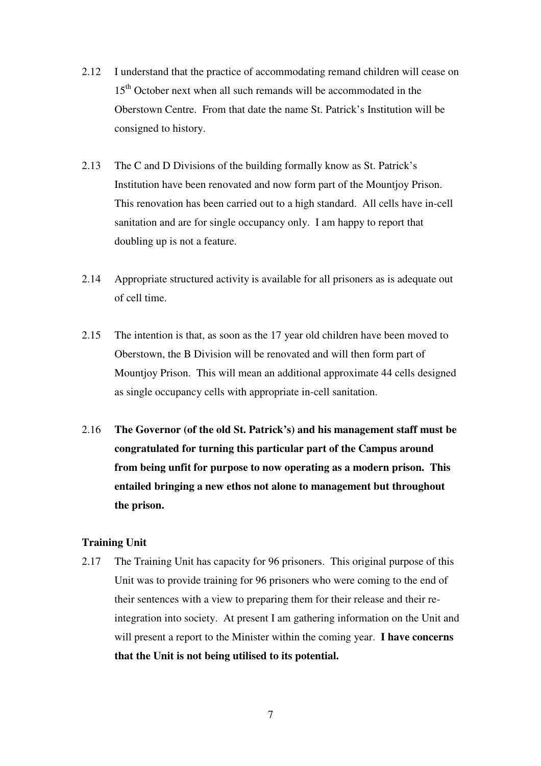- 2.12 I understand that the practice of accommodating remand children will cease on 15<sup>th</sup> October next when all such remands will be accommodated in the Oberstown Centre. From that date the name St. Patrick's Institution will be consigned to history.
- 2.13 The C and D Divisions of the building formally know as St. Patrick's Institution have been renovated and now form part of the Mountjoy Prison. This renovation has been carried out to a high standard. All cells have in-cell sanitation and are for single occupancy only. I am happy to report that doubling up is not a feature.
- 2.14 Appropriate structured activity is available for all prisoners as is adequate out of cell time.
- 2.15 The intention is that, as soon as the 17 year old children have been moved to Oberstown, the B Division will be renovated and will then form part of Mountjoy Prison. This will mean an additional approximate 44 cells designed as single occupancy cells with appropriate in-cell sanitation.
- 2.16 **The Governor (of the old St. Patrick's) and his management staff must be congratulated for turning this particular part of the Campus around from being unfit for purpose to now operating as a modern prison. This entailed bringing a new ethos not alone to management but throughout the prison.**

#### **Training Unit**

2.17 The Training Unit has capacity for 96 prisoners. This original purpose of this Unit was to provide training for 96 prisoners who were coming to the end of their sentences with a view to preparing them for their release and their reintegration into society. At present I am gathering information on the Unit and will present a report to the Minister within the coming year. **I have concerns that the Unit is not being utilised to its potential.**

7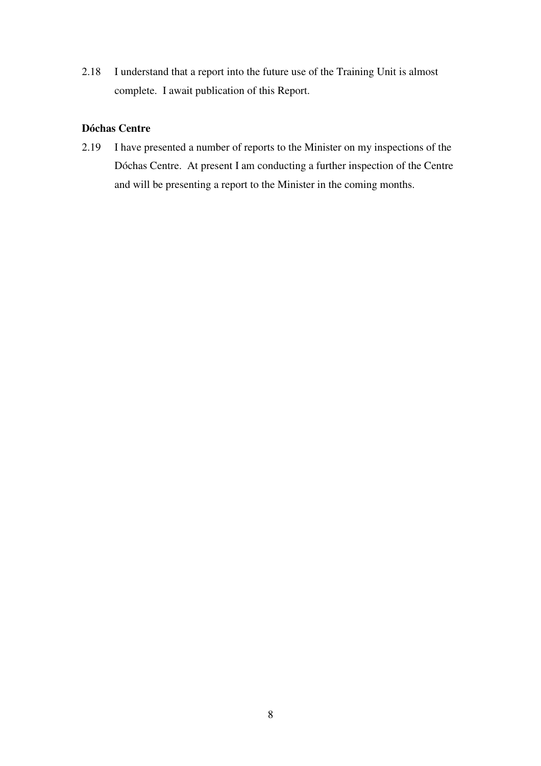2.18 I understand that a report into the future use of the Training Unit is almost complete. I await publication of this Report.

# **Dóchas Centre**

2.19 I have presented a number of reports to the Minister on my inspections of the Dóchas Centre. At present I am conducting a further inspection of the Centre and will be presenting a report to the Minister in the coming months.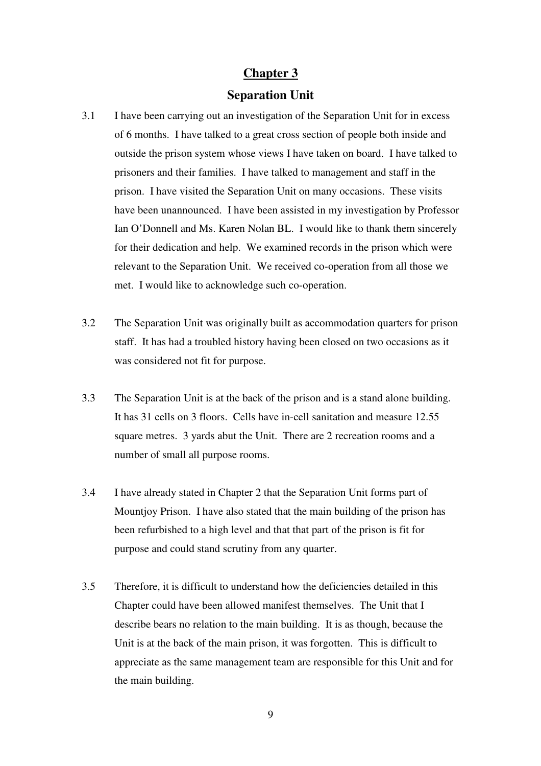#### **Separation Unit**

- 3.1 I have been carrying out an investigation of the Separation Unit for in excess of 6 months. I have talked to a great cross section of people both inside and outside the prison system whose views I have taken on board. I have talked to prisoners and their families. I have talked to management and staff in the prison. I have visited the Separation Unit on many occasions. These visits have been unannounced. I have been assisted in my investigation by Professor Ian O'Donnell and Ms. Karen Nolan BL. I would like to thank them sincerely for their dedication and help. We examined records in the prison which were relevant to the Separation Unit. We received co-operation from all those we met. I would like to acknowledge such co-operation.
- 3.2 The Separation Unit was originally built as accommodation quarters for prison staff. It has had a troubled history having been closed on two occasions as it was considered not fit for purpose.
- 3.3 The Separation Unit is at the back of the prison and is a stand alone building. It has 31 cells on 3 floors. Cells have in-cell sanitation and measure 12.55 square metres. 3 yards abut the Unit. There are 2 recreation rooms and a number of small all purpose rooms.
- 3.4 I have already stated in Chapter 2 that the Separation Unit forms part of Mountjoy Prison. I have also stated that the main building of the prison has been refurbished to a high level and that that part of the prison is fit for purpose and could stand scrutiny from any quarter.
- 3.5 Therefore, it is difficult to understand how the deficiencies detailed in this Chapter could have been allowed manifest themselves. The Unit that I describe bears no relation to the main building. It is as though, because the Unit is at the back of the main prison, it was forgotten. This is difficult to appreciate as the same management team are responsible for this Unit and for the main building.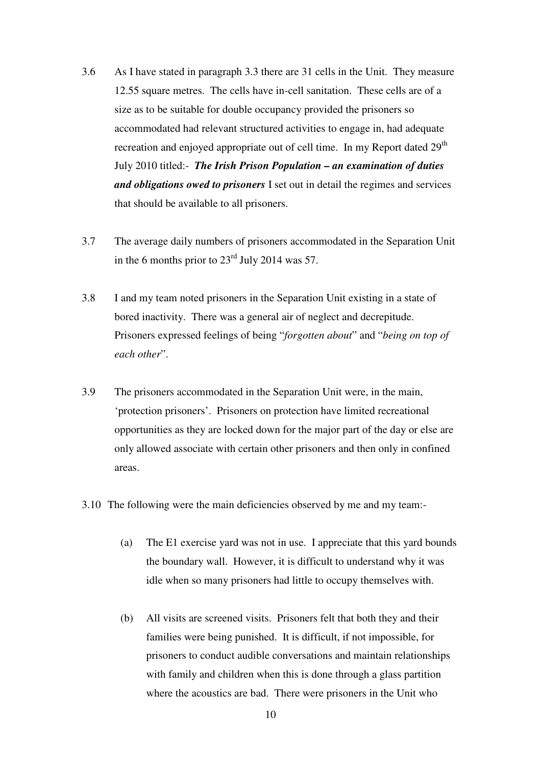- 3.6 As I have stated in paragraph 3.3 there are 31 cells in the Unit. They measure 12.55 square metres. The cells have in-cell sanitation. These cells are of a size as to be suitable for double occupancy provided the prisoners so accommodated had relevant structured activities to engage in, had adequate recreation and enjoyed appropriate out of cell time. In my Report dated 29<sup>th</sup> July 2010 titled:- *The Irish Prison Population – an examination of duties and obligations owed to prisoners* I set out in detail the regimes and services that should be available to all prisoners.
- 3.7 The average daily numbers of prisoners accommodated in the Separation Unit in the 6 months prior to  $23<sup>rd</sup>$  July 2014 was 57.
- 3.8 I and my team noted prisoners in the Separation Unit existing in a state of bored inactivity. There was a general air of neglect and decrepitude. Prisoners expressed feelings of being "*forgotten about*" and "*being on top of each other*".
- 3.9 The prisoners accommodated in the Separation Unit were, in the main, 'protection prisoners'. Prisoners on protection have limited recreational opportunities as they are locked down for the major part of the day or else are only allowed associate with certain other prisoners and then only in confined areas.
- 3.10 The following were the main deficiencies observed by me and my team:-
	- (a) The E1 exercise yard was not in use. I appreciate that this yard bounds the boundary wall. However, it is difficult to understand why it was idle when so many prisoners had little to occupy themselves with.
	- (b) All visits are screened visits. Prisoners felt that both they and their families were being punished. It is difficult, if not impossible, for prisoners to conduct audible conversations and maintain relationships with family and children when this is done through a glass partition where the acoustics are bad. There were prisoners in the Unit who

10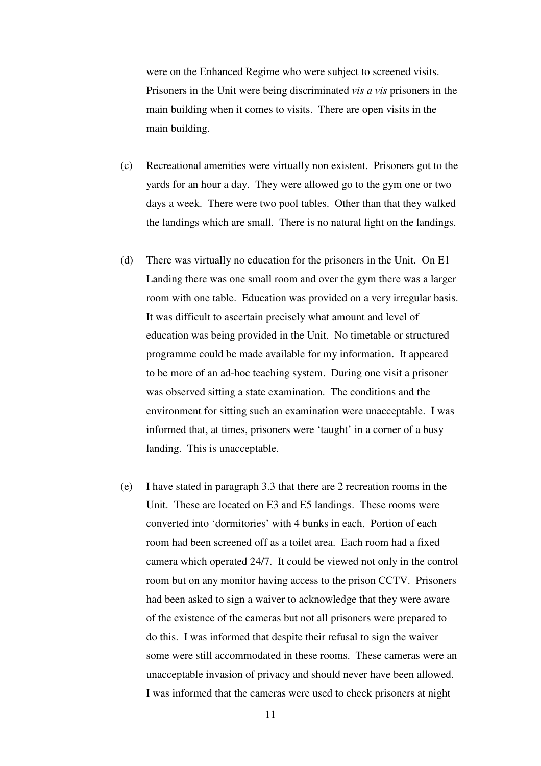were on the Enhanced Regime who were subject to screened visits. Prisoners in the Unit were being discriminated *vis a vis* prisoners in the main building when it comes to visits. There are open visits in the main building.

- (c) Recreational amenities were virtually non existent. Prisoners got to the yards for an hour a day. They were allowed go to the gym one or two days a week. There were two pool tables. Other than that they walked the landings which are small. There is no natural light on the landings.
- (d) There was virtually no education for the prisoners in the Unit. On E1 Landing there was one small room and over the gym there was a larger room with one table. Education was provided on a very irregular basis. It was difficult to ascertain precisely what amount and level of education was being provided in the Unit. No timetable or structured programme could be made available for my information. It appeared to be more of an ad-hoc teaching system. During one visit a prisoner was observed sitting a state examination. The conditions and the environment for sitting such an examination were unacceptable. I was informed that, at times, prisoners were 'taught' in a corner of a busy landing. This is unacceptable.
- (e) I have stated in paragraph 3.3 that there are 2 recreation rooms in the Unit. These are located on E3 and E5 landings. These rooms were converted into 'dormitories' with 4 bunks in each. Portion of each room had been screened off as a toilet area. Each room had a fixed camera which operated 24/7. It could be viewed not only in the control room but on any monitor having access to the prison CCTV. Prisoners had been asked to sign a waiver to acknowledge that they were aware of the existence of the cameras but not all prisoners were prepared to do this. I was informed that despite their refusal to sign the waiver some were still accommodated in these rooms. These cameras were an unacceptable invasion of privacy and should never have been allowed. I was informed that the cameras were used to check prisoners at night

11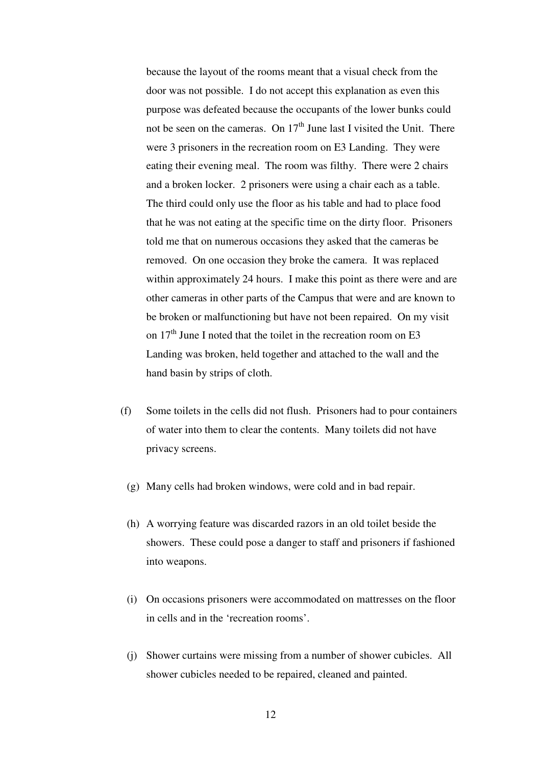because the layout of the rooms meant that a visual check from the door was not possible. I do not accept this explanation as even this purpose was defeated because the occupants of the lower bunks could not be seen on the cameras. On  $17<sup>th</sup>$  June last I visited the Unit. There were 3 prisoners in the recreation room on E3 Landing. They were eating their evening meal. The room was filthy. There were 2 chairs and a broken locker. 2 prisoners were using a chair each as a table. The third could only use the floor as his table and had to place food that he was not eating at the specific time on the dirty floor. Prisoners told me that on numerous occasions they asked that the cameras be removed. On one occasion they broke the camera. It was replaced within approximately 24 hours. I make this point as there were and are other cameras in other parts of the Campus that were and are known to be broken or malfunctioning but have not been repaired. On my visit on  $17<sup>th</sup>$  June I noted that the toilet in the recreation room on E3 Landing was broken, held together and attached to the wall and the hand basin by strips of cloth.

- (f) Some toilets in the cells did not flush. Prisoners had to pour containers of water into them to clear the contents. Many toilets did not have privacy screens.
	- (g) Many cells had broken windows, were cold and in bad repair.
	- (h) A worrying feature was discarded razors in an old toilet beside the showers. These could pose a danger to staff and prisoners if fashioned into weapons.
	- (i) On occasions prisoners were accommodated on mattresses on the floor in cells and in the 'recreation rooms'.
	- (j) Shower curtains were missing from a number of shower cubicles. All shower cubicles needed to be repaired, cleaned and painted.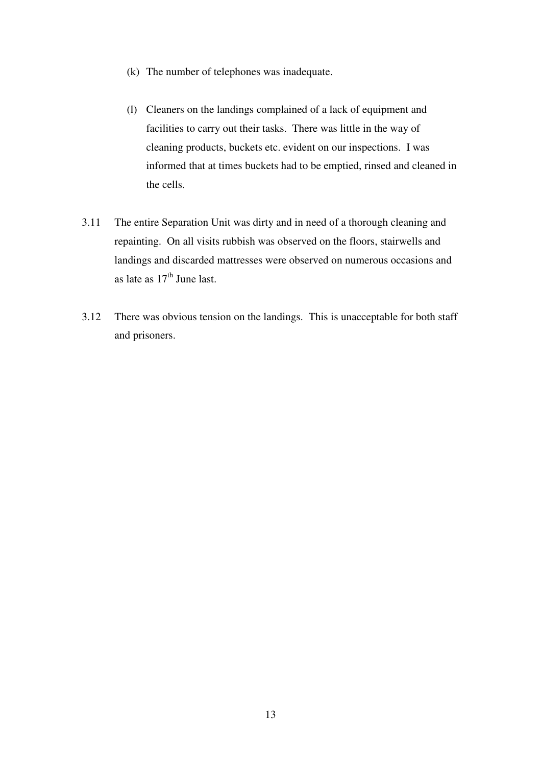- (k) The number of telephones was inadequate.
- (l) Cleaners on the landings complained of a lack of equipment and facilities to carry out their tasks. There was little in the way of cleaning products, buckets etc. evident on our inspections. I was informed that at times buckets had to be emptied, rinsed and cleaned in the cells.
- 3.11 The entire Separation Unit was dirty and in need of a thorough cleaning and repainting. On all visits rubbish was observed on the floors, stairwells and landings and discarded mattresses were observed on numerous occasions and as late as  $17<sup>th</sup>$  June last.
- 3.12 There was obvious tension on the landings. This is unacceptable for both staff and prisoners.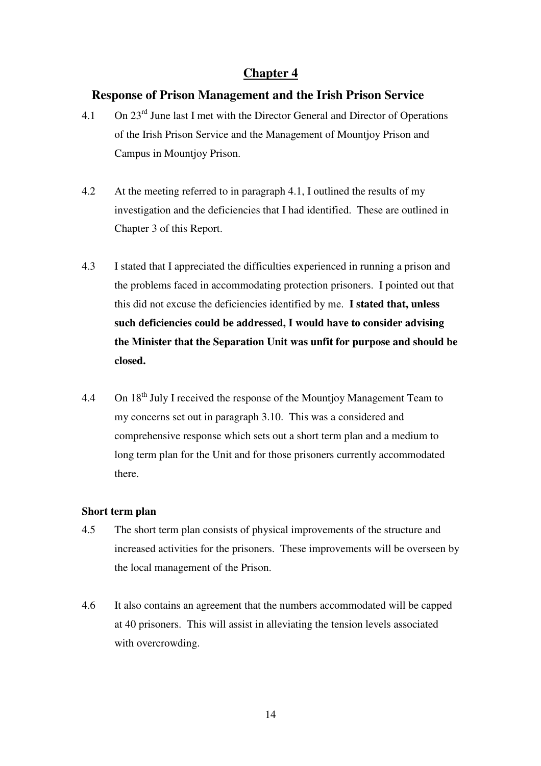### **Response of Prison Management and the Irish Prison Service**

- 4.1 On  $23^{\text{rd}}$  June last I met with the Director General and Director of Operations of the Irish Prison Service and the Management of Mountjoy Prison and Campus in Mountjoy Prison.
- 4.2 At the meeting referred to in paragraph 4.1, I outlined the results of my investigation and the deficiencies that I had identified. These are outlined in Chapter 3 of this Report.
- 4.3 I stated that I appreciated the difficulties experienced in running a prison and the problems faced in accommodating protection prisoners. I pointed out that this did not excuse the deficiencies identified by me. **I stated that, unless such deficiencies could be addressed, I would have to consider advising the Minister that the Separation Unit was unfit for purpose and should be closed.**
- 4.4 On 18<sup>th</sup> July I received the response of the Mountjoy Management Team to my concerns set out in paragraph 3.10. This was a considered and comprehensive response which sets out a short term plan and a medium to long term plan for the Unit and for those prisoners currently accommodated there.

#### **Short term plan**

- 4.5 The short term plan consists of physical improvements of the structure and increased activities for the prisoners. These improvements will be overseen by the local management of the Prison.
- 4.6 It also contains an agreement that the numbers accommodated will be capped at 40 prisoners. This will assist in alleviating the tension levels associated with overcrowding.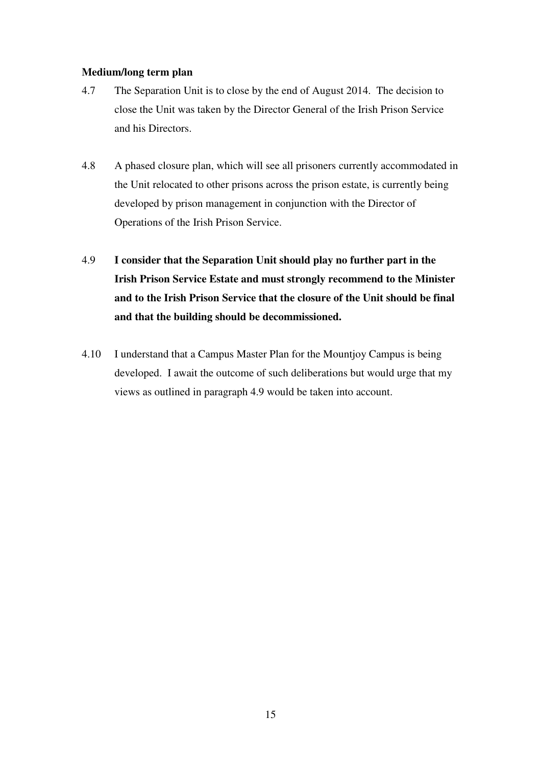#### **Medium/long term plan**

- 4.7 The Separation Unit is to close by the end of August 2014. The decision to close the Unit was taken by the Director General of the Irish Prison Service and his Directors.
- 4.8 A phased closure plan, which will see all prisoners currently accommodated in the Unit relocated to other prisons across the prison estate, is currently being developed by prison management in conjunction with the Director of Operations of the Irish Prison Service.
- 4.9 **I consider that the Separation Unit should play no further part in the Irish Prison Service Estate and must strongly recommend to the Minister and to the Irish Prison Service that the closure of the Unit should be final and that the building should be decommissioned.**
- 4.10 I understand that a Campus Master Plan for the Mountjoy Campus is being developed. I await the outcome of such deliberations but would urge that my views as outlined in paragraph 4.9 would be taken into account.